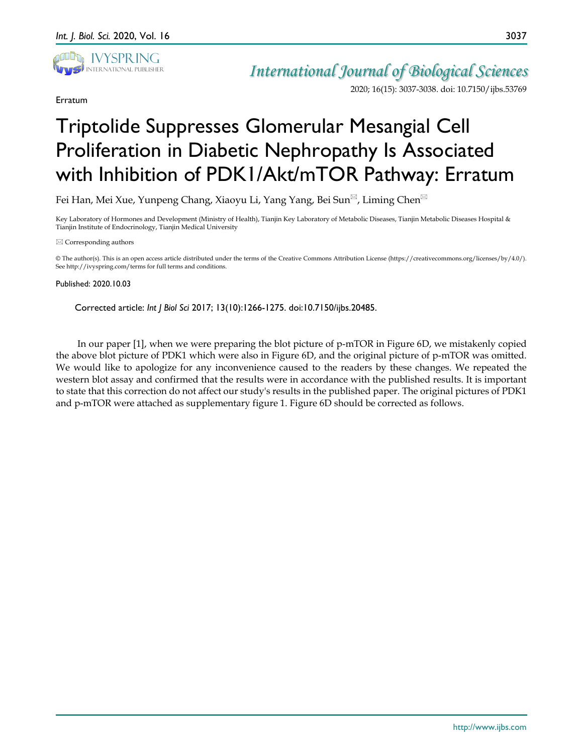

Erratum

2020; 16(15): 3037-3038. doi: 10.7150/ijbs.53769

3037

## Triptolide Suppresses Glomerular Mesangial Cell Proliferation in Diabetic Nephropathy Is Associated with Inhibition of PDK1/Akt/mTOR Pathway: Erratum

Fei Han, Mei Xue, Yunpeng Chang, Xiaoyu Li, Yang Yang, Bei Sun<sup>⊠</sup>, Liming Chen<sup>⊠</sup>

Key Laboratory of Hormones and Development (Ministry of Health), Tianjin Key Laboratory of Metabolic Diseases, Tianjin Metabolic Diseases Hospital & Tianjin Institute of Endocrinology, Tianjin Medical University

 $\boxtimes$  Corresponding authors

© The author(s). This is an open access article distributed under the terms of the Creative Commons Attribution License (https://creativecommons.org/licenses/by/4.0/). See http://ivyspring.com/terms for full terms and conditions.

## Published: 2020.10.03

Corrected article: *Int J Biol Sci* 2017; 13(10):1266-1275. doi:10.7150/ijbs.20485.

In our paper [1], when we were preparing the blot picture of p-mTOR in Figure 6D, we mistakenly copied the above blot picture of PDK1 which were also in Figure 6D, and the original picture of p-mTOR was omitted. We would like to apologize for any inconvenience caused to the readers by these changes. We repeated the western blot assay and confirmed that the results were in accordance with the published results. It is important to state that this correction do not affect our study's results in the published paper. The original pictures of PDK1 and p-mTOR were attached as supplementary figure 1. Figure 6D should be corrected as follows.